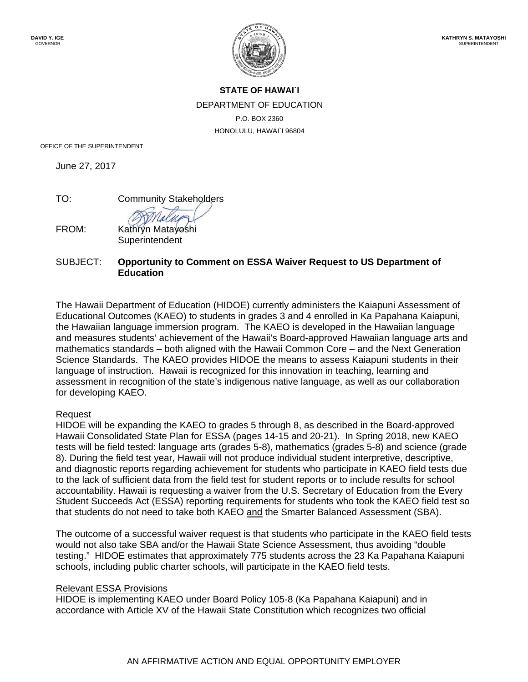# **STATE OF HAWAI`I**  DEPARTMENT OF EDUCATION P.O. BOX 2360 HONOLULU, HAWAI`I 96804

OFFICE OF THE SUPERINTENDENT

June 27, 2017

TO: Community Stakeholders

FROM: Kathryn Matayoshi **Superintendent** 

## SUBJECT: **Opportunity to Comment on ESSA Waiver Request to US Department of Education**

The Hawaii Department of Education (HIDOE) currently administers the Kaiapuni Assessment of Educational Outcomes (KAEO) to students in grades 3 and 4 enrolled in Ka Papahana Kaiapuni, the Hawaiian language immersion program. The KAEO is developed in the Hawaiian language and measures students' achievement of the Hawaii's Board-approved Hawaiian language arts and mathematics standards – both aligned with the Hawaii Common Core – and the Next Generation Science Standards. The KAEO provides HIDOE the means to assess Kaiapuni students in their language of instruction. Hawaii is recognized for this innovation in teaching, learning and assessment in recognition of the state's indigenous native language, as well as our collaboration for developing KAEO.

#### Request

HIDOE will be expanding the KAEO to grades 5 through 8, as described in the Board-approved Hawaii Consolidated State Plan for ESSA (pages 14-15 and 20-21). In Spring 2018, new KAEO tests will be field tested: language arts (grades 5-8), mathematics (grades 5-8) and science (grade 8). During the field test year, Hawaii will not produce individual student interpretive, descriptive, and diagnostic reports regarding achievement for students who participate in KAEO field tests due to the lack of sufficient data from the field test for student reports or to include results for school accountability. Hawaii is requesting a waiver from the U.S. Secretary of Education from the Every Student Succeeds Act (ESSA) reporting requirements for students who took the KAEO field test so that students do not need to take both KAEO and the Smarter Balanced Assessment (SBA).

The outcome of a successful waiver request is that students who participate in the KAEO field tests would not also take SBA and/or the Hawaii State Science Assessment, thus avoiding "double testing." HIDOE estimates that approximately 775 students across the 23 Ka Papahana Kaiapuni schools, including public charter schools, will participate in the KAEO field tests.

#### Relevant ESSA Provisions

HIDOE is implementing KAEO under Board Policy 105-8 (Ka Papahana Kaiapuni) and in accordance with Article XV of the Hawaii State Constitution which recognizes two official